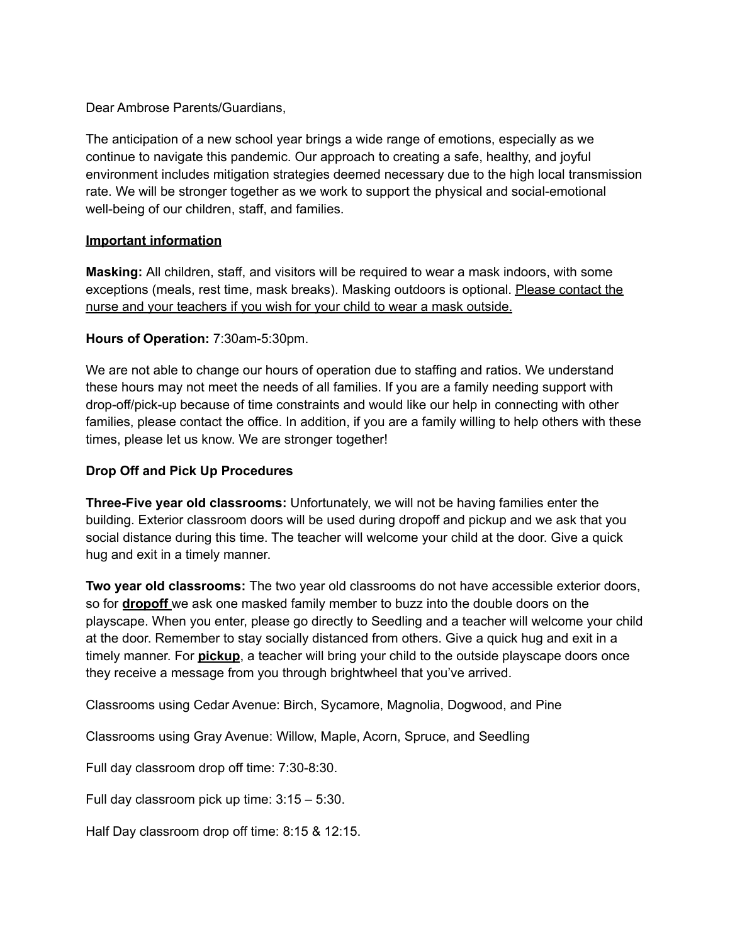Dear Ambrose Parents/Guardians,

The anticipation of a new school year brings a wide range of emotions, especially as we continue to navigate this pandemic. Our approach to creating a safe, healthy, and joyful environment includes mitigation strategies deemed necessary due to the high local transmission rate. We will be stronger together as we work to support the physical and social-emotional well-being of our children, staff, and families.

## **Important information**

**Masking:** All children, staff, and visitors will be required to wear a mask indoors, with some exceptions (meals, rest time, mask breaks). Masking outdoors is optional. Please contact the nurse and your teachers if you wish for your child to wear a mask outside.

## **Hours of Operation:** 7:30am-5:30pm.

We are not able to change our hours of operation due to staffing and ratios. We understand these hours may not meet the needs of all families. If you are a family needing support with drop-off/pick-up because of time constraints and would like our help in connecting with other families, please contact the office. In addition, if you are a family willing to help others with these times, please let us know. We are stronger together!

## **Drop Off and Pick Up Procedures**

**Three-Five year old classrooms:** Unfortunately, we will not be having families enter the building. Exterior classroom doors will be used during dropoff and pickup and we ask that you social distance during this time. The teacher will welcome your child at the door. Give a quick hug and exit in a timely manner.

**Two year old classrooms:** The two year old classrooms do not have accessible exterior doors, so for **dropoff** we ask one masked family member to buzz into the double doors on the playscape. When you enter, please go directly to Seedling and a teacher will welcome your child at the door. Remember to stay socially distanced from others. Give a quick hug and exit in a timely manner. For **pickup**, a teacher will bring your child to the outside playscape doors once they receive a message from you through brightwheel that you've arrived.

Classrooms using Cedar Avenue: Birch, Sycamore, Magnolia, Dogwood, and Pine

Classrooms using Gray Avenue: Willow, Maple, Acorn, Spruce, and Seedling

Full day classroom drop off time: 7:30-8:30.

Full day classroom pick up time: 3:15 – 5:30.

Half Day classroom drop off time: 8:15 & 12:15.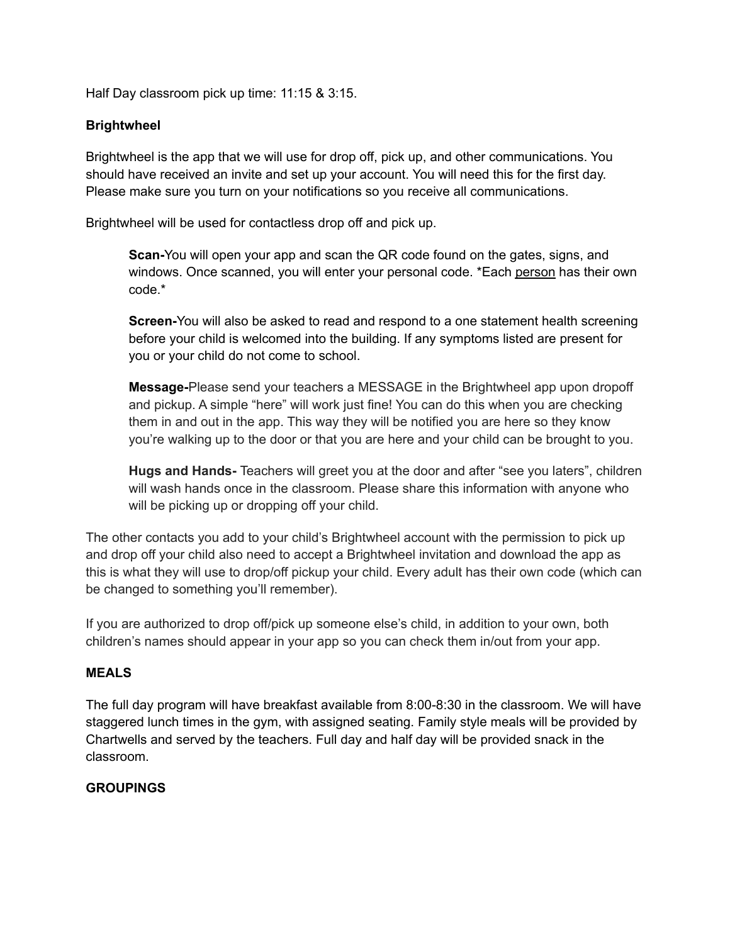Half Day classroom pick up time: 11:15 & 3:15.

### **Brightwheel**

Brightwheel is the app that we will use for drop off, pick up, and other communications. You should have received an invite and set up your account. You will need this for the first day. Please make sure you turn on your notifications so you receive all communications.

Brightwheel will be used for contactless drop off and pick up.

**Scan-**You will open your app and scan the QR code found on the gates, signs, and windows. Once scanned, you will enter your personal code. \*Each person has their own code.\*

**Screen-**You will also be asked to read and respond to a one statement health screening before your child is welcomed into the building. If any symptoms listed are present for you or your child do not come to school.

**Message-**Please send your teachers a MESSAGE in the Brightwheel app upon dropoff and pickup. A simple "here" will work just fine! You can do this when you are checking them in and out in the app. This way they will be notified you are here so they know you're walking up to the door or that you are here and your child can be brought to you.

**Hugs and Hands-** Teachers will greet you at the door and after "see you laters", children will wash hands once in the classroom. Please share this information with anyone who will be picking up or dropping off your child.

The other contacts you add to your child's Brightwheel account with the permission to pick up and drop off your child also need to accept a Brightwheel invitation and download the app as this is what they will use to drop/off pickup your child. Every adult has their own code (which can be changed to something you'll remember).

If you are authorized to drop off/pick up someone else's child, in addition to your own, both children's names should appear in your app so you can check them in/out from your app.

#### **MEALS**

The full day program will have breakfast available from 8:00-8:30 in the classroom. We will have staggered lunch times in the gym, with assigned seating. Family style meals will be provided by Chartwells and served by the teachers. Full day and half day will be provided snack in the classroom.

# **GROUPINGS**